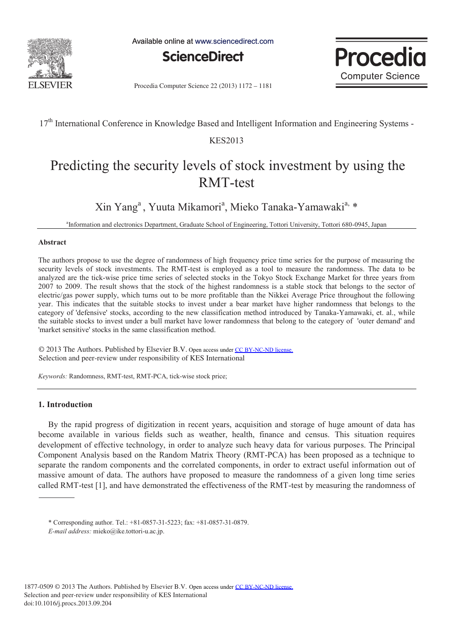

Available online at www.sciencedirect.com





Procedia Computer Science 22 (2013) 1172 - 1181

17<sup>th</sup> International Conference in Knowledge Based and Intelligent Information and Engineering Systems -

### KES2013

# Predicting the security levels of stock investment by using the RMT-test

Xin Yang<sup>a</sup>, Yuuta Mikamori<sup>a</sup>, Mieko Tanaka-Yamawaki<sup>a, \*</sup>

a Information and electronics Department, Graduate School of Engineering, Tottori University, Tottori 680-0945, Japan

#### **Abstract**

The authors propose to use the degree of randomness of high frequency price time series for the purpose of measuring the security levels of stock investments. The RMT-test is employed as a tool to measure the randomness. The data to be analyzed are the tick-wise price time series of selected stocks in the Tokyo Stock Exchange Market for three years from 2007 to 2009. The result shows that the stock of the highest randomness is a stable stock that belongs to the sector of electric/gas power supply, which turns out to be more profitable than the Nikkei Average Price throughout the following year. This indicates that the suitable stocks to invest under a bear market have higher randomness that belongs to the category of 'defensive' stocks, according to the new classification method introduced by Tanaka-Yamawaki, et. al., while the suitable stocks to invest under a bull market have lower randomness that belong to the category of 'outer demand' and 'market sensitive' stocks in the same classification method.

© 2013 The Authors. Published by Elsevier B.V. © 2013 The Authors. Published by Elsevier B.V. Open access under [CC BY-NC-ND license.](http://creativecommons.org/licenses/by-nc-nd/3.0/) Selection and peer-review under responsibility of KES International. Selection and peer-review under responsibility of KES International

*Keywords:* Randomness, RMT-test, RMT-PCA, tick-wise stock price;

### **1. Introduction**

By the rapid progress of digitization in recent years, acquisition and storage of huge amount of data has become available in various fields such as weather, health, finance and census. This situation requires development of effective technology, in order to analyze such heavy data for various purposes. The Principal Component Analysis based on the Random Matrix Theory (RMT-PCA) has been proposed as a technique to separate the random components and the correlated components, in order to extract useful information out of massive amount of data. The authors have proposed to measure the randomness of a given long time series called RMT-test [1], and have demonstrated the effectiveness of the RMT-test by measuring the randomness of

<sup>\*</sup> Corresponding author. Tel.: +81-0857-31-5223; fax: +81-0857-31-0879.

*E-mail address:* mieko@ike.tottori-u.ac.jp.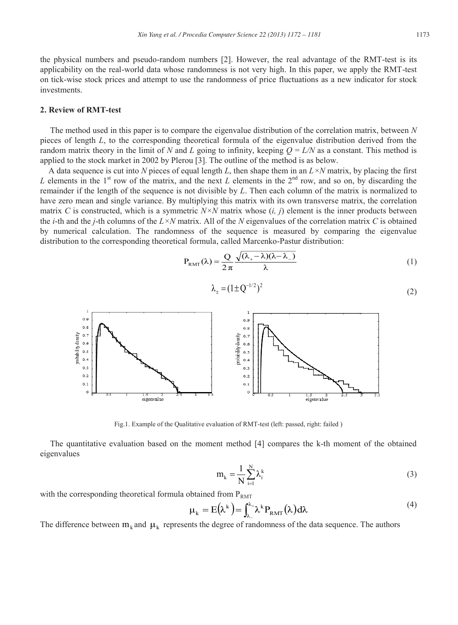the physical numbers and pseudo-random numbers [2]. However, the real advantage of the RMT-test is its applicability on the real-world data whose randomness is not very high. In this paper, we apply the RMT-test on tick-wise stock prices and attempt to use the randomness of price fluctuations as a new indicator for stock investments.

#### **2. Review of RMT-test**

The method used in this paper is to compare the eigenvalue distribution of the correlation matrix, between *N*  pieces of length *L*, to the corresponding theoretical formula of the eigenvalue distribution derived from the random matrix theory in the limit of *N* and *L* going to infinity, keeping  $Q = L/N$  as a constant. This method is applied to the stock market in 2002 by Plerou [3]. The outline of the method is as below.

 A data sequence is cut into *N* pieces of equal length *L*, then shape them in an *L×N* matrix, by placing the first *L* elements in the 1<sup>st</sup> row of the matrix, and the next *L* elements in the  $2<sup>nd</sup>$  row, and so on, by discarding the remainder if the length of the sequence is not divisible by *L*. Then each column of the matrix is normalized to have zero mean and single variance. By multiplying this matrix with its own transverse matrix, the correlation matrix *C* is constructed, which is a symmetric *N×N* matrix whose (*i, j*) element is the inner products between the *i*-th and the *j*-th columns of the *L×N* matrix. All of the *N* eigenvalues of the correlation matrix *C* is obtained by numerical calculation. The randomness of the sequence is measured by comparing the eigenvalue distribution to the corresponding theoretical formula, called Marcenko-Pastur distribution:

$$
P_{RMT}(\lambda) = \frac{Q}{2\pi} \frac{\sqrt{(\lambda_{+} - \lambda)(\lambda - \lambda_{-})}}{\lambda}
$$
 (1)

$$
\lambda_{\pm} = (1 \pm Q^{-1/2})^2 \tag{2}
$$



Fig.1. Example of the Qualitative evaluation of RMT-test (left: passed, right: failed )

The quantitative evaluation based on the moment method [4] compares the k-th moment of the obtained eigenvalues

$$
m_k = \frac{1}{N} \sum_{i=1}^{N} \lambda_i^k
$$
 (3)

with the corresponding theoretical formula obtained from  $P_{RMT}$ 

$$
\mu_{k} = E(\lambda^{k}) = \int_{\lambda_{-}}^{\lambda_{+}} \lambda^{k} P_{RMT}(\lambda) d\lambda
$$
\n(4)

The difference between  $m_k$  and  $\mu_k$  represents the degree of randomness of the data sequence. The authors